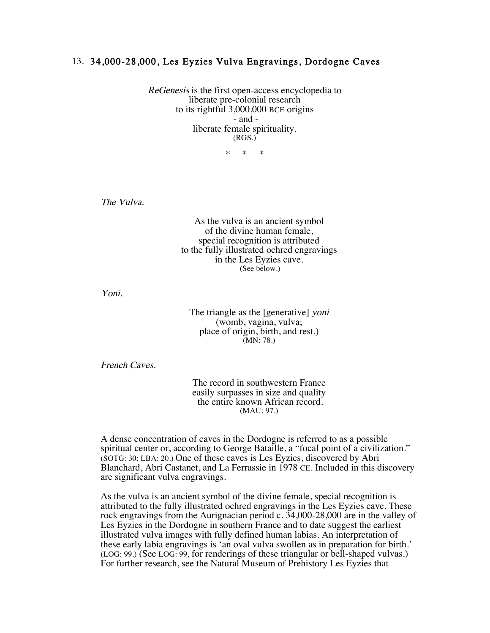## 13. 34,000-28,000, Les Eyzies Vulva Engravings, Dordogne Caves

ReGenesis is the first open-access encyclopedia to liberate pre-colonial research to its rightful 3,000,000 BCE origins - and liberate female spirituality. (RGS.)

\* \* \*

The Vulva.

As the vulva is an ancient symbol of the divine human female, special recognition is attributed to the fully illustrated ochred engravings in the Les Eyzies cave. (See below.)

Yoni.

The triangle as the [generative] yoni (womb, vagina, vulva; place of origin, birth, and rest.) (MN: 78.)

French Caves.

The record in southwestern France easily surpasses in size and quality the entire known African record. (MAU: 97.)

A dense concentration of caves in the Dordogne is referred to as a possible spiritual center or, according to George Bataille, a "focal point of a civilization." (SOTG: 30; LBA: 20.) One of these caves is Les Eyzies, discovered by Abri Blanchard, Abri Castanet, and La Ferrassie in 1978 CE. Included in this discovery are significant vulva engravings.

As the vulva is an ancient symbol of the divine female, special recognition is attributed to the fully illustrated ochred engravings in the Les Eyzies cave. These rock engravings from the Aurignacian period c. 34,000-28,000 are in the valley of Les Eyzies in the Dordogne in southern France and to date suggest the earliest illustrated vulva images with fully defined human labias. An interpretation of these early labia engravings is 'an oval vulva swollen as in preparation for birth.' (LOG: 99.) (See LOG: 99, for renderings of these triangular or bell-shaped vulvas.) For further research, see the Natural Museum of Prehistory Les Eyzies that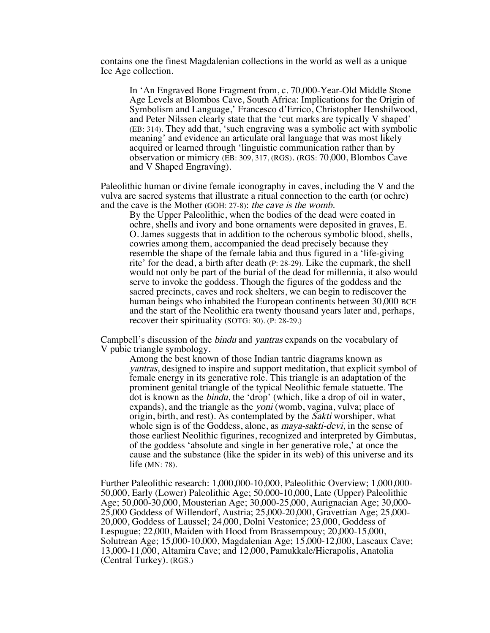contains one the finest Magdalenian collections in the world as well as a unique Ice Age collection.

In 'An Engraved Bone Fragment from, c. 70,000-Year-Old Middle Stone Age Levels at Blombos Cave, South Africa: Implications for the Origin of Symbolism and Language,' Francesco d'Errico, Christopher Henshilwood, and Peter Nilssen clearly state that the 'cut marks are typically V shaped' (EB: 314). They add that, 'such engraving was a symbolic act with symbolic meaning' and evidence an articulate oral language that was most likely acquired or learned through 'linguistic communication rather than by observation or mimicry (EB: 309, 317, (RGS). (RGS: 70,000, Blombos Cave and V Shaped Engraving).

Paleolithic human or divine female iconography in caves, including the V and the vulva are sacred systems that illustrate a ritual connection to the earth (or ochre) and the cave is the Mother (GOH: 27-8): the cave is the womb.

By the Upper Paleolithic, when the bodies of the dead were coated in ochre, shells and ivory and bone ornaments were deposited in graves, E. O. James suggests that in addition to the ocherous symbolic blood, shells, cowries among them, accompanied the dead precisely because they resemble the shape of the female labia and thus figured in a 'life-giving rite' for the dead, a birth after death (P: 28-29). Like the cupmark, the shell would not only be part of the burial of the dead for millennia, it also would serve to invoke the goddess. Though the figures of the goddess and the sacred precincts, caves and rock shelters, we can begin to rediscover the human beings who inhabited the European continents between 30,000 BCE and the start of the Neolithic era twenty thousand years later and, perhaps, recover their spirituality (SOTG: 30). (P: 28-29.)

Campbell's discussion of the bindu and yantras expands on the vocabulary of V pubic triangle symbology.

Among the best known of those Indian tantric diagrams known as yantras, designed to inspire and support meditation, that explicit symbol of female energy in its generative role. This triangle is an adaptation of the prominent genital triangle of the typical Neolithic female statuette. The dot is known as the bindu, the 'drop' (which, like a drop of oil in water, expands), and the triangle as the *yoni* (womb, vagina, vulva; place of origin, birth, and rest). As contemplated by the *Sakti* worshiper, what whole sign is of the Goddess, alone, as *maya-sakti-devi*, in the sense of those earliest Neolithic figurines, recognized and interpreted by Gimbutas, of the goddess 'absolute and single in her generative role,' at once the cause and the substance (like the spider in its web) of this universe and its life (MN: 78).

Further Paleolithic research: 1,000,000-10,000, Paleolithic Overview; 1,000,000- 50,000, Early (Lower) Paleolithic Age; 50,000-10,000, Late (Upper) Paleolithic Age; 50,000-30,000, Mousterian Age; 30,000-25,000, Aurignacian Age; 30,000- 25,000 Goddess of Willendorf, Austria; 25,000-20,000, Gravettian Age; 25,000- 20,000, Goddess of Laussel; 24,000, Dolni Vestonice; 23,000, Goddess of Lespugue; 22,000, Maiden with Hood from Brassempouy; 20,000-15,000, Solutrean Age; 15,000-10,000, Magdalenian Age; 15,000-12,000, Lascaux Cave; 13,000-11,000, Altamira Cave; and 12,000, Pamukkale/Hierapolis, Anatolia (Central Turkey). (RGS.)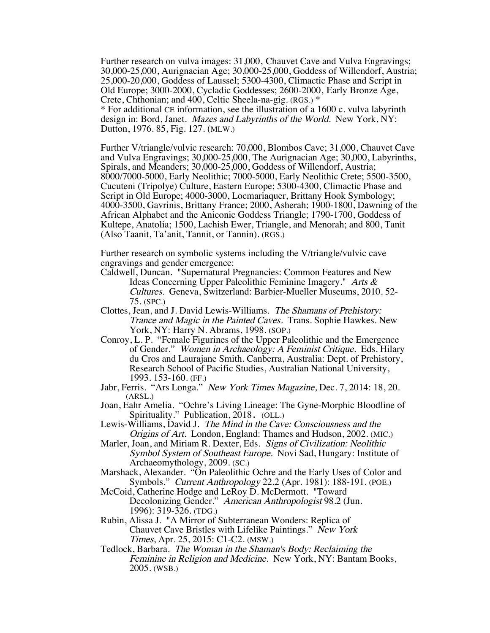Further research on vulva images: 31,000, Chauvet Cave and Vulva Engravings; 30,000-25,000, Aurignacian Age; 30,000-25,000, Goddess of Willendorf, Austria; 25,000-20,000, Goddess of Laussel; 5300-4300, Climactic Phase and Script in Old Europe; 3000-2000, Cycladic Goddesses; 2600-2000, Early Bronze Age, Crete, Chthonian; and 400, Celtic Sheela-na-gig. (RGS.) \* \* For additional CE information, see the illustration of a 1600 c. vulva labyrinth design in: Bord, Janet. Mazes and Labyrinths of the World. New York, NY: Dutton, 1976. 85, Fig. 127. (MLW.)

Further V/triangle/vulvic research: 70,000, Blombos Cave; 31,000, Chauvet Cave and Vulva Engravings; 30,000-25,000, The Aurignacian Age; 30,000, Labyrinths, Spirals, and Meanders; 30,000-25,000, Goddess of Willendorf, Austria; 8000/7000-5000, Early Neolithic; 7000-5000, Early Neolithic Crete; 5500-3500, Cucuteni (Tripolye) Culture, Eastern Europe; 5300-4300, Climactic Phase and Script in Old Europe; 4000-3000, Locmariaquer, Brittany Hook Symbology; 4000-3500, Gavrinis, Brittany France; 2000, Asherah; 1900-1800, Dawning of the African Alphabet and the Aniconic Goddess Triangle; 1790-1700, Goddess of Kultepe, Anatolia; 1500, Lachish Ewer, Triangle, and Menorah; and 800, Tanit (Also Taanit, Ta'anit, Tannit, or Tannin). (RGS.)

Further research on symbolic systems including the V/triangle/vulvic cave engravings and gender emergence:

- Caldwell, Duncan. "Supernatural Pregnancies: Common Features and New Ideas Concerning Upper Paleolithic Feminine Imagery." Arts & Cultures. Geneva, Switzerland: Barbier-Mueller Museums, 2010. 52- 75. (SPC.)
- Clottes, Jean, and J. David Lewis-Williams. The Shamans of Prehistory: Trance and Magic in the Painted Caves. Trans. Sophie Hawkes. New York, NY: Harry N. Abrams, 1998. (SOP.)
- Conroy, L. P. "Female Figurines of the Upper Paleolithic and the Emergence of Gender." Women in Archaeology: A Feminist Critique. Eds. Hilary du Cros and Laurajane Smith. Canberra, Australia: Dept. of Prehistory, Research School of Pacific Studies, Australian National University, 1993. 153-160. (FF.)
- Jabr, Ferris. "Ars Longa." New York Times Magazine, Dec. 7, 2014: 18, 20. (ARSL.)
- Joan, Eahr Amelia. "Ochre's Living Lineage: The Gyne-Morphic Bloodline of Spirituality." Publication, 2018. (OLL.)
- Lewis-Williams, David J. The Mind in the Cave: Consciousness and the Origins of Art. London, England: Thames and Hudson, 2002. (MIC.)
- Marler, Joan, and Miriam R. Dexter, Eds. Signs of Civilization: Neolithic Symbol System of Southeast Europe. Novi Sad, Hungary: Institute of Archaeomythology, 2009. (SC.)
- Marshack, Alexander. "On Paleolithic Ochre and the Early Uses of Color and Symbols." Current Anthropology 22.2 (Apr. 1981): 188-191. (POE.)
- McCoid, Catherine Hodge and LeRoy D. McDermott. "Toward Decolonizing Gender." American Anthropologist 98.2 (Jun. 1996): 319-326. (TDG.)
- Rubin, Alissa J. "A Mirror of Subterranean Wonders: Replica of Chauvet Cave Bristles with Lifelike Paintings." New York Times, Apr. 25, 2015: C1-C2. (MSW.)
- Tedlock, Barbara. The Woman in the Shaman's Body: Reclaiming the Feminine in Religion and Medicine. New York, NY: Bantam Books, 2005. (WSB.)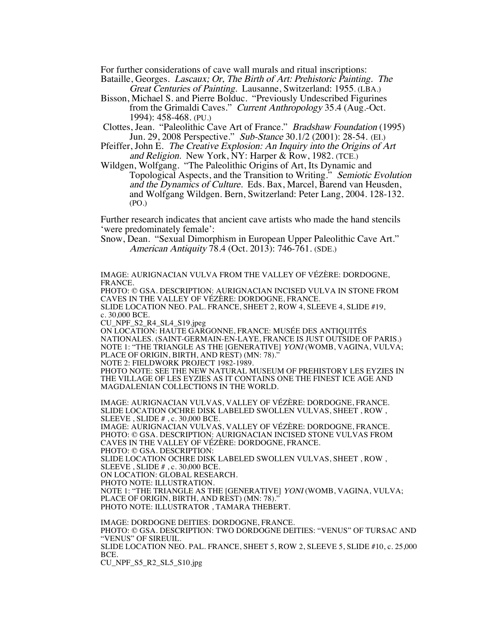For further considerations of cave wall murals and ritual inscriptions:

Bataille, Georges. Lascaux; Or, The Birth of Art: Prehistoric Painting. The Great Centuries of Painting. Lausanne, Switzerland: 1955. (LBA.)

Bisson, Michael S. and Pierre Bolduc. "Previously Undescribed Figurines from the Grimaldi Caves." Current Anthropology 35.4 (Aug.-Oct. 1994): 458-468. (PU.)

Clottes, Jean. "Paleolithic Cave Art of France." Bradshaw Foundation (1995) Jun. 29, 2008 Perspective." Sub-Stance 30.1/2 (2001): 28-54. (EI.)

Pfeiffer, John E. The Creative Explosion: An Inquiry into the Origins of Art and Religion. New York, NY: Harper & Row, 1982. (TCE.)

Wildgen, Wolfgang. "The Paleolithic Origins of Art, Its Dynamic and Topological Aspects, and the Transition to Writing." Semiotic Evolution and the Dynamics of Culture. Eds. Bax, Marcel, Barend van Heusden, and Wolfgang Wildgen. Bern, Switzerland: Peter Lang, 2004. 128-132. (PO.)

Further research indicates that ancient cave artists who made the hand stencils 'were predominately female':

Snow, Dean. "Sexual Dimorphism in European Upper Paleolithic Cave Art." American Antiquity 78.4 (Oct. 2013): 746-761. (SDE.)

IMAGE: AURIGNACIAN VULVA FROM THE VALLEY OF VÉZÈRE: DORDOGNE, FRANCE.

PHOTO: © GSA. DESCRIPTION: AURIGNACIAN INCISED VULVA IN STONE FROM CAVES IN THE VALLEY OF VÉZÈRE: DORDOGNE, FRANCE.

SLIDE LOCATION NEO. PAL. FRANCE, SHEET 2, ROW 4, SLEEVE 4, SLIDE #19, c. 30,000 BCE.

CU\_NPF\_S2\_R4\_SL4\_S19.jpeg

ON LOCATION: HAUTE GARGONNE, FRANCE: MUSÉE DES ANTIQUITÉS NATIONALES. (SAINT-GERMAIN-EN-LAYE, FRANCE IS JUST OUTSIDE OF PARIS.) NOTE 1: "THE TRIANGLE AS THE [GENERATIVE] YONI (WOMB, VAGINA, VULVA; PLACE OF ORIGIN, BIRTH, AND REST) (MN: 78)."

NOTE 2: FIELDWORK PROJECT 1982-1989.

PHOTO NOTE: SEE THE NEW NATURAL MUSEUM OF PREHISTORY LES EYZIES IN THE VILLAGE OF LES EYZIES AS IT CONTAINS ONE THE FINEST ICE AGE AND MAGDALENIAN COLLECTIONS IN THE WORLD.

IMAGE: AURIGNACIAN VULVAS, VALLEY OF VÉZÈRE: DORDOGNE, FRANCE. SLIDE LOCATION OCHRE DISK LABELED SWOLLEN VULVAS, SHEET , ROW , SLEEVE , SLIDE # , c. 30,000 BCE. IMAGE: AURIGNACIAN VULVAS, VALLEY OF VÉZÈRE: DORDOGNE, FRANCE. PHOTO: © GSA. DESCRIPTION: AURIGNACIAN INCISED STONE VULVAS FROM CAVES IN THE VALLEY OF VÉZÈRE: DORDOGNE, FRANCE. PHOTO: © GSA. DESCRIPTION: SLIDE LOCATION OCHRE DISK LABELED SWOLLEN VULVAS, SHEET , ROW , SLEEVE , SLIDE # , c. 30,000 BCE. ON LOCATION: GLOBAL RESEARCH. PHOTO NOTE: ILLUSTRATION. NOTE 1: "THE TRIANGLE AS THE [GENERATIVE] YONI (WOMB, VAGINA, VULVA; PLACE OF ORIGIN, BIRTH, AND REST) (MN: 78)." PHOTO NOTE: ILLUSTRATOR , TAMARA THEBERT.

IMAGE: DORDOGNE DEITIES: DORDOGNE, FRANCE. PHOTO: © GSA. DESCRIPTION: TWO DORDOGNE DEITIES: "VENUS" OF TURSAC AND "VENUS" OF SIREUIL. SLIDE LOCATION NEO. PAL. FRANCE, SHEET 5, ROW 2, SLEEVE 5, SLIDE #10, c. 25,000 BCE.

CU\_NPF\_S5\_R2\_SL5\_S10.jpg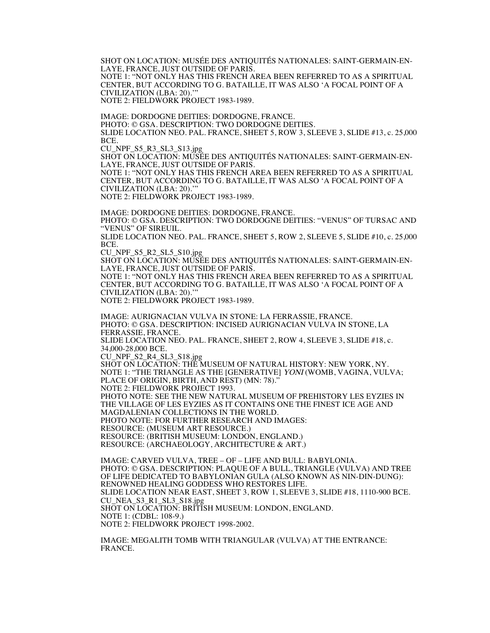SHOT ON LOCATION: MUSÉE DES ANTIQUITÉS NATIONALES: SAINT-GERMAIN-EN-LAYE, FRANCE, JUST OUTSIDE OF PARIS. NOTE 1: "NOT ONLY HAS THIS FRENCH AREA BEEN REFERRED TO AS A SPIRITUAL

CENTER, BUT ACCORDING TO G. BATAILLE, IT WAS ALSO 'A FOCAL POINT OF A CIVILIZATION (LBA: 20).'"

NOTE 2: FIELDWORK PROJECT 1983-1989.

IMAGE: DORDOGNE DEITIES: DORDOGNE, FRANCE. PHOTO: © GSA. DESCRIPTION: TWO DORDOGNE DEITIES. SLIDE LOCATION NEO. PAL. FRANCE, SHEET 5, ROW 3, SLEEVE 3, SLIDE #13, c. 25,000 BCE.

CU\_NPF\_S5\_R3\_SL3\_S13.jpg

SHOT ON LOCATION: MUSÉE DES ANTIQUITÉS NATIONALES: SAINT-GERMAIN-EN-LAYE, FRANCE, JUST OUTSIDE OF PARIS.

NOTE 1: "NOT ONLY HAS THIS FRENCH AREA BEEN REFERRED TO AS A SPIRITUAL CENTER, BUT ACCORDING TO G. BATAILLE, IT WAS ALSO 'A FOCAL POINT OF A CIVILIZATION (LBA: 20).'"

NOTE 2: FIELDWORK PROJECT 1983-1989.

IMAGE: DORDOGNE DEITIES: DORDOGNE, FRANCE. PHOTO: © GSA. DESCRIPTION: TWO DORDOGNE DEITIES: "VENUS" OF TURSAC AND "VENUS" OF SIREUIL. SLIDE LOCATION NEO. PAL. FRANCE, SHEET 5, ROW 2, SLEEVE 5, SLIDE #10, c. 25,000 BCE.

CU\_NPF\_S5\_R2\_SL5\_S10.jpg

SHOT ON LOCATION: MUSÉE DES ANTIQUITÉS NATIONALES: SAINT-GERMAIN-EN-LAYE, FRANCE, JUST OUTSIDE OF PARIS.

NOTE 1: "NOT ONLY HAS THIS FRENCH AREA BEEN REFERRED TO AS A SPIRITUAL CENTER, BUT ACCORDING TO G. BATAILLE, IT WAS ALSO 'A FOCAL POINT OF A CIVILIZATION (LBA: 20).'"

NOTE 2: FIELDWORK PROJECT 1983-1989.

IMAGE: AURIGNACIAN VULVA IN STONE: LA FERRASSIE, FRANCE. PHOTO: © GSA. DESCRIPTION: INCISED AURIGNACIAN VULVA IN STONE, LA FERRASSIE, FRANCE. SLIDE LOCATION NEO. PAL. FRANCE, SHEET 2, ROW 4, SLEEVE 3, SLIDE #18, c. 34,000-28,000 BCE. CU\_NPF\_S2\_R4\_SL3\_S18.jpg

SHOT ON LOCATION: THE MUSEUM OF NATURAL HISTORY: NEW YORK, NY. NOTE 1: "THE TRIANGLE AS THE [GENERATIVE] YONI (WOMB, VAGINA, VULVA; PLACE OF ORIGIN, BIRTH, AND REST) (MN: 78)." NOTE 2: FIELDWORK PROJECT 1993. PHOTO NOTE: SEE THE NEW NATURAL MUSEUM OF PREHISTORY LES EYZIES IN THE VILLAGE OF LES EYZIES AS IT CONTAINS ONE THE FINEST ICE AGE AND

MAGDALENIAN COLLECTIONS IN THE WORLD.

PHOTO NOTE: FOR FURTHER RESEARCH AND IMAGES:

RESOURCE: (MUSEUM ART RESOURCE.)

RESOURCE: (BRITISH MUSEUM: LONDON, ENGLAND.) RESOURCE: (ARCHAEOLOGY, ARCHITECTURE & ART.)

IMAGE: CARVED VULVA, TREE – OF – LIFE AND BULL: BABYLONIA. PHOTO: © GSA. DESCRIPTION: PLAQUE OF A BULL, TRIANGLE (VULVA) AND TREE OF LIFE DEDICATED TO BABYLONIAN GULA (ALSO KNOWN AS NIN-DIN-DUNG): RENOWNED HEALING GODDESS WHO RESTORES LIFE. SLIDE LOCATION NEAR EAST, SHEET 3, ROW 1, SLEEVE 3, SLIDE #18, 1110-900 BCE. CU\_NEA\_S3\_R1\_SL3\_S18.jpg SHOT ON LOCATION: BRITISH MUSEUM: LONDON, ENGLAND. NOTE 1: (CDBL: 108-9.) NOTE 2: FIELDWORK PROJECT 1998-2002.

IMAGE: MEGALITH TOMB WITH TRIANGULAR (VULVA) AT THE ENTRANCE: FRANCE.